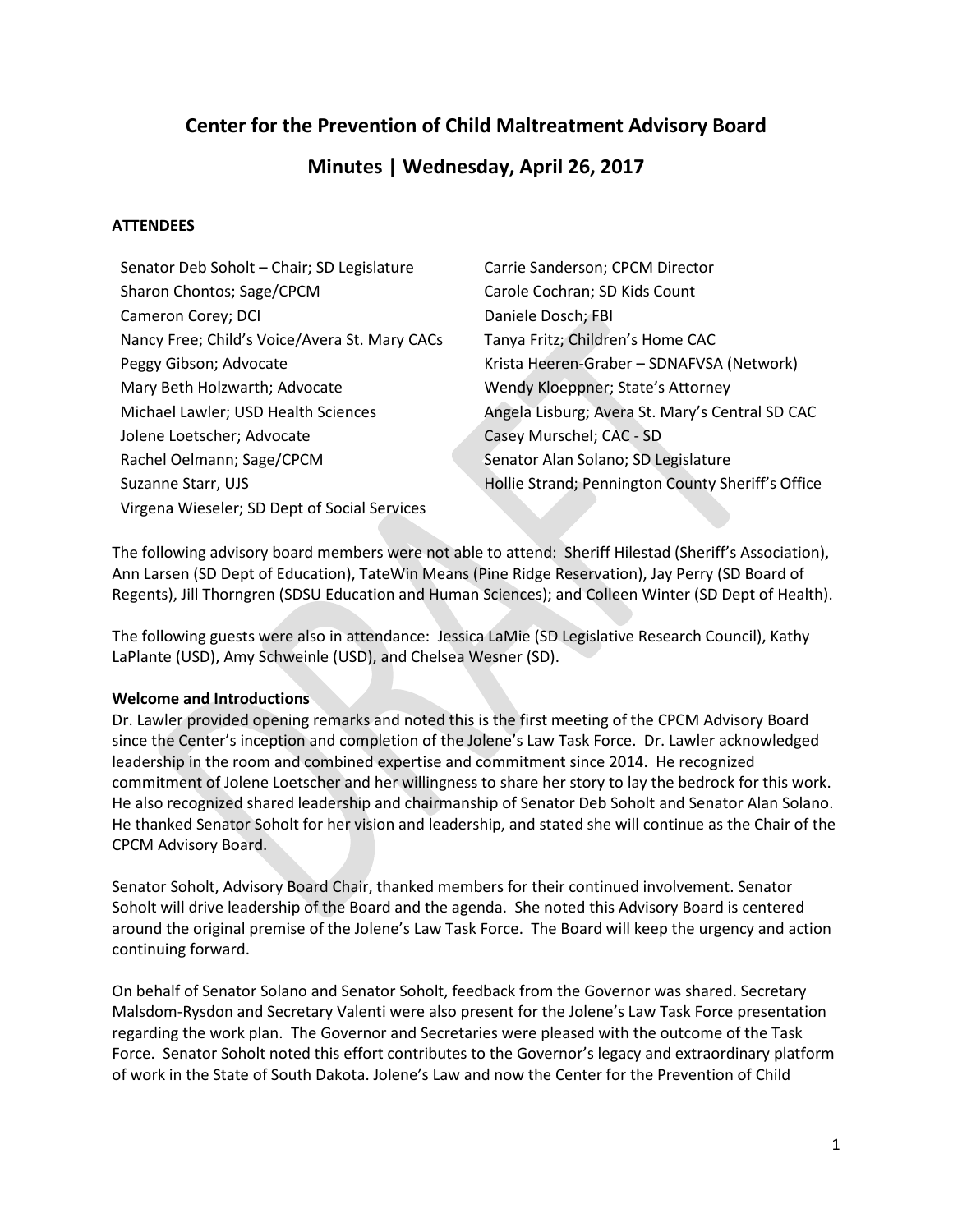# **Center for the Prevention of Child Maltreatment Advisory Board**

# **Minutes | Wednesday, April 26, 2017**

# **ATTENDEES**

| Carrie Sanderson; CPCM Director                   |
|---------------------------------------------------|
| Carole Cochran; SD Kids Count                     |
| Daniele Dosch; FBI                                |
| Tanya Fritz; Children's Home CAC                  |
| Krista Heeren-Graber - SDNAFVSA (Network)         |
| Wendy Kloeppner; State's Attorney                 |
| Angela Lisburg; Avera St. Mary's Central SD CAC   |
| Casey Murschel; CAC - SD                          |
| Senator Alan Solano; SD Legislature               |
| Hollie Strand; Pennington County Sheriff's Office |
|                                                   |
|                                                   |

The following advisory board members were not able to attend: Sheriff Hilestad (Sheriff's Association), Ann Larsen (SD Dept of Education), TateWin Means (Pine Ridge Reservation), Jay Perry (SD Board of Regents), Jill Thorngren (SDSU Education and Human Sciences); and Colleen Winter (SD Dept of Health).

The following guests were also in attendance: Jessica LaMie (SD Legislative Research Council), Kathy LaPlante (USD), Amy Schweinle (USD), and Chelsea Wesner (SD).

## **Welcome and Introductions**

Dr. Lawler provided opening remarks and noted this is the first meeting of the CPCM Advisory Board since the Center's inception and completion of the Jolene's Law Task Force. Dr. Lawler acknowledged leadership in the room and combined expertise and commitment since 2014. He recognized commitment of Jolene Loetscher and her willingness to share her story to lay the bedrock for this work. He also recognized shared leadership and chairmanship of Senator Deb Soholt and Senator Alan Solano. He thanked Senator Soholt for her vision and leadership, and stated she will continue as the Chair of the CPCM Advisory Board.

Senator Soholt, Advisory Board Chair, thanked members for their continued involvement. Senator Soholt will drive leadership of the Board and the agenda. She noted this Advisory Board is centered around the original premise of the Jolene's Law Task Force. The Board will keep the urgency and action continuing forward.

On behalf of Senator Solano and Senator Soholt, feedback from the Governor was shared. Secretary Malsdom-Rysdon and Secretary Valenti were also present for the Jolene's Law Task Force presentation regarding the work plan. The Governor and Secretaries were pleased with the outcome of the Task Force. Senator Soholt noted this effort contributes to the Governor's legacy and extraordinary platform of work in the State of South Dakota. Jolene's Law and now the Center for the Prevention of Child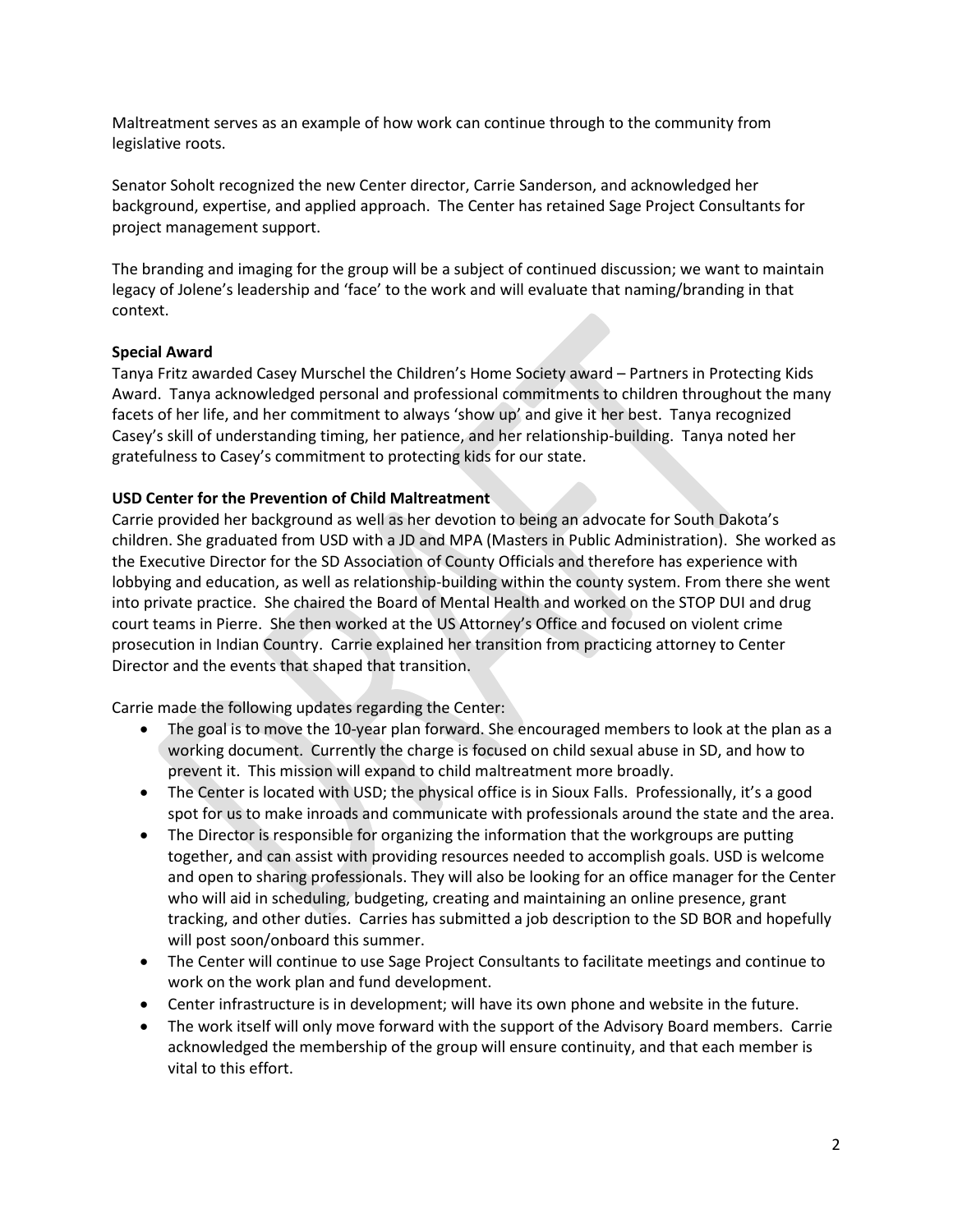Maltreatment serves as an example of how work can continue through to the community from legislative roots.

Senator Soholt recognized the new Center director, Carrie Sanderson, and acknowledged her background, expertise, and applied approach. The Center has retained Sage Project Consultants for project management support.

The branding and imaging for the group will be a subject of continued discussion; we want to maintain legacy of Jolene's leadership and 'face' to the work and will evaluate that naming/branding in that context.

### **Special Award**

Tanya Fritz awarded Casey Murschel the Children's Home Society award – Partners in Protecting Kids Award. Tanya acknowledged personal and professional commitments to children throughout the many facets of her life, and her commitment to always 'show up' and give it her best. Tanya recognized Casey's skill of understanding timing, her patience, and her relationship-building. Tanya noted her gratefulness to Casey's commitment to protecting kids for our state.

## **USD Center for the Prevention of Child Maltreatment**

Carrie provided her background as well as her devotion to being an advocate for South Dakota's children. She graduated from USD with a JD and MPA (Masters in Public Administration). She worked as the Executive Director for the SD Association of County Officials and therefore has experience with lobbying and education, as well as relationship-building within the county system. From there she went into private practice. She chaired the Board of Mental Health and worked on the STOP DUI and drug court teams in Pierre. She then worked at the US Attorney's Office and focused on violent crime prosecution in Indian Country. Carrie explained her transition from practicing attorney to Center Director and the events that shaped that transition.

Carrie made the following updates regarding the Center:

- The goal is to move the 10-year plan forward. She encouraged members to look at the plan as a working document. Currently the charge is focused on child sexual abuse in SD, and how to prevent it. This mission will expand to child maltreatment more broadly.
- The Center is located with USD; the physical office is in Sioux Falls. Professionally, it's a good spot for us to make inroads and communicate with professionals around the state and the area.
- The Director is responsible for organizing the information that the workgroups are putting together, and can assist with providing resources needed to accomplish goals. USD is welcome and open to sharing professionals. They will also be looking for an office manager for the Center who will aid in scheduling, budgeting, creating and maintaining an online presence, grant tracking, and other duties. Carries has submitted a job description to the SD BOR and hopefully will post soon/onboard this summer.
- The Center will continue to use Sage Project Consultants to facilitate meetings and continue to work on the work plan and fund development.
- Center infrastructure is in development; will have its own phone and website in the future.
- The work itself will only move forward with the support of the Advisory Board members. Carrie acknowledged the membership of the group will ensure continuity, and that each member is vital to this effort.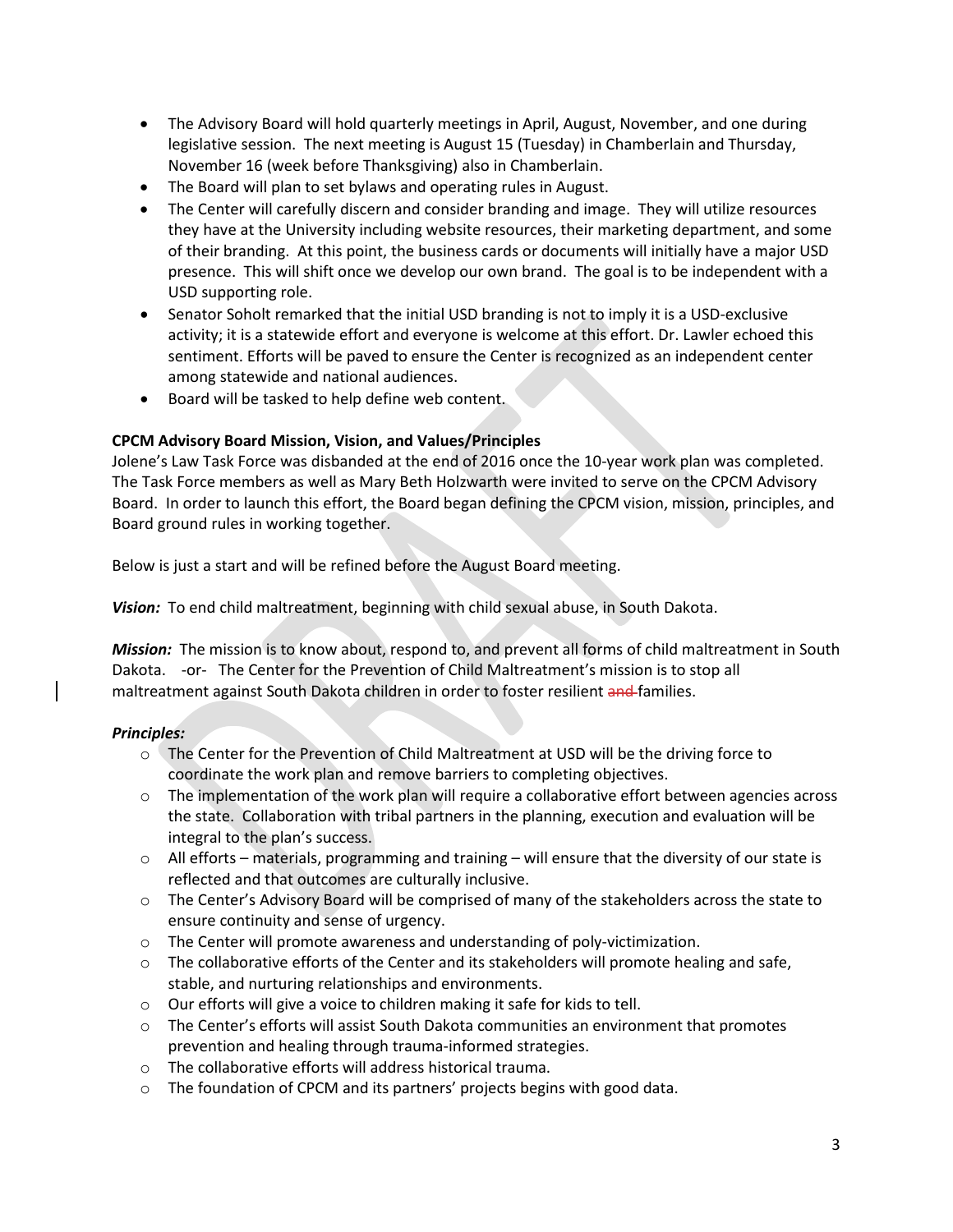- The Advisory Board will hold quarterly meetings in April, August, November, and one during legislative session. The next meeting is August 15 (Tuesday) in Chamberlain and Thursday, November 16 (week before Thanksgiving) also in Chamberlain.
- The Board will plan to set bylaws and operating rules in August.
- The Center will carefully discern and consider branding and image. They will utilize resources they have at the University including website resources, their marketing department, and some of their branding. At this point, the business cards or documents will initially have a major USD presence. This will shift once we develop our own brand. The goal is to be independent with a USD supporting role.
- Senator Soholt remarked that the initial USD branding is not to imply it is a USD-exclusive activity; it is a statewide effort and everyone is welcome at this effort. Dr. Lawler echoed this sentiment. Efforts will be paved to ensure the Center is recognized as an independent center among statewide and national audiences.
- Board will be tasked to help define web content.

# **CPCM Advisory Board Mission, Vision, and Values/Principles**

Jolene's Law Task Force was disbanded at the end of 2016 once the 10-year work plan was completed. The Task Force members as well as Mary Beth Holzwarth were invited to serve on the CPCM Advisory Board. In order to launch this effort, the Board began defining the CPCM vision, mission, principles, and Board ground rules in working together.

Below is just a start and will be refined before the August Board meeting.

*Vision:* To end child maltreatment, beginning with child sexual abuse, in South Dakota.

*Mission:* The mission is to know about, respond to, and prevent all forms of child maltreatment in South Dakota. -or- The Center for the Prevention of Child Maltreatment's mission is to stop all maltreatment against South Dakota children in order to foster resilient and families.

## *Principles:*

- o The Center for the Prevention of Child Maltreatment at USD will be the driving force to coordinate the work plan and remove barriers to completing objectives.
- o The implementation of the work plan will require a collaborative effort between agencies across the state. Collaboration with tribal partners in the planning, execution and evaluation will be integral to the plan's success.
- $\circ$  All efforts materials, programming and training will ensure that the diversity of our state is reflected and that outcomes are culturally inclusive.
- $\circ$  The Center's Advisory Board will be comprised of many of the stakeholders across the state to ensure continuity and sense of urgency.
- o The Center will promote awareness and understanding of poly-victimization.
- $\circ$  The collaborative efforts of the Center and its stakeholders will promote healing and safe, stable, and nurturing relationships and environments.
- $\circ$  Our efforts will give a voice to children making it safe for kids to tell.
- o The Center's efforts will assist South Dakota communities an environment that promotes prevention and healing through trauma-informed strategies.
- o The collaborative efforts will address historical trauma.
- o The foundation of CPCM and its partners' projects begins with good data.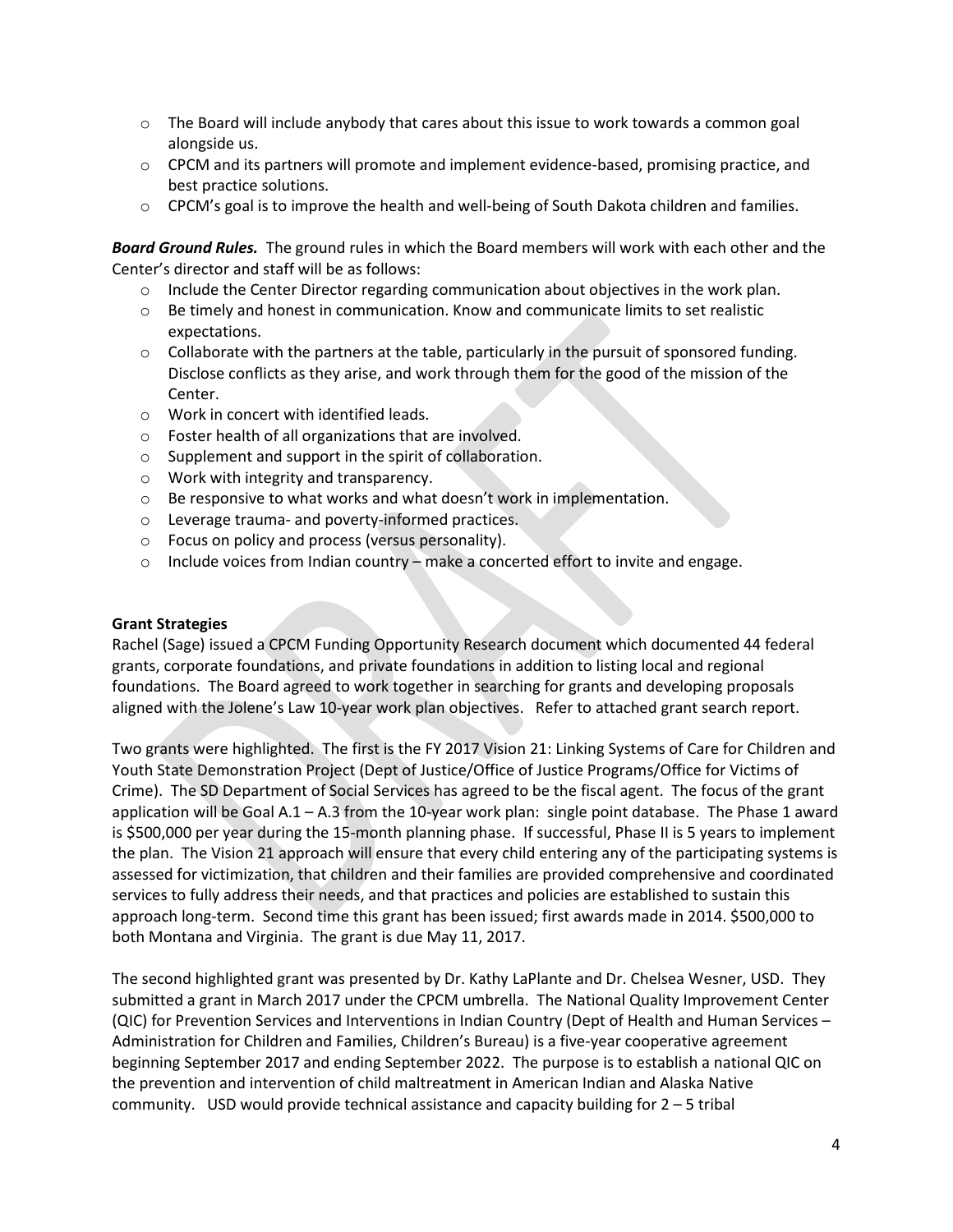- $\circ$  The Board will include anybody that cares about this issue to work towards a common goal alongside us.
- $\circ$  CPCM and its partners will promote and implement evidence-based, promising practice, and best practice solutions.
- $\circ$  CPCM's goal is to improve the health and well-being of South Dakota children and families.

*Board Ground Rules.* The ground rules in which the Board members will work with each other and the Center's director and staff will be as follows:

- $\circ$  Include the Center Director regarding communication about objectives in the work plan.
- $\circ$  Be timely and honest in communication. Know and communicate limits to set realistic expectations.
- $\circ$  Collaborate with the partners at the table, particularly in the pursuit of sponsored funding. Disclose conflicts as they arise, and work through them for the good of the mission of the Center.
- o Work in concert with identified leads.
- o Foster health of all organizations that are involved.
- o Supplement and support in the spirit of collaboration.
- o Work with integrity and transparency.
- o Be responsive to what works and what doesn't work in implementation.
- o Leverage trauma- and poverty-informed practices.
- o Focus on policy and process (versus personality).
- o Include voices from Indian country make a concerted effort to invite and engage.

### **Grant Strategies**

Rachel (Sage) issued a CPCM Funding Opportunity Research document which documented 44 federal grants, corporate foundations, and private foundations in addition to listing local and regional foundations. The Board agreed to work together in searching for grants and developing proposals aligned with the Jolene's Law 10-year work plan objectives. Refer to attached grant search report.

Two grants were highlighted. The first is the FY 2017 Vision 21: Linking Systems of Care for Children and Youth State Demonstration Project (Dept of Justice/Office of Justice Programs/Office for Victims of Crime). The SD Department of Social Services has agreed to be the fiscal agent. The focus of the grant application will be Goal A.1 – A.3 from the 10-year work plan: single point database. The Phase 1 award is \$500,000 per year during the 15-month planning phase. If successful, Phase II is 5 years to implement the plan. The Vision 21 approach will ensure that every child entering any of the participating systems is assessed for victimization, that children and their families are provided comprehensive and coordinated services to fully address their needs, and that practices and policies are established to sustain this approach long-term. Second time this grant has been issued; first awards made in 2014. \$500,000 to both Montana and Virginia. The grant is due May 11, 2017.

The second highlighted grant was presented by Dr. Kathy LaPlante and Dr. Chelsea Wesner, USD. They submitted a grant in March 2017 under the CPCM umbrella. The National Quality Improvement Center (QIC) for Prevention Services and Interventions in Indian Country (Dept of Health and Human Services – Administration for Children and Families, Children's Bureau) is a five-year cooperative agreement beginning September 2017 and ending September 2022. The purpose is to establish a national QIC on the prevention and intervention of child maltreatment in American Indian and Alaska Native community. USD would provide technical assistance and capacity building for 2 – 5 tribal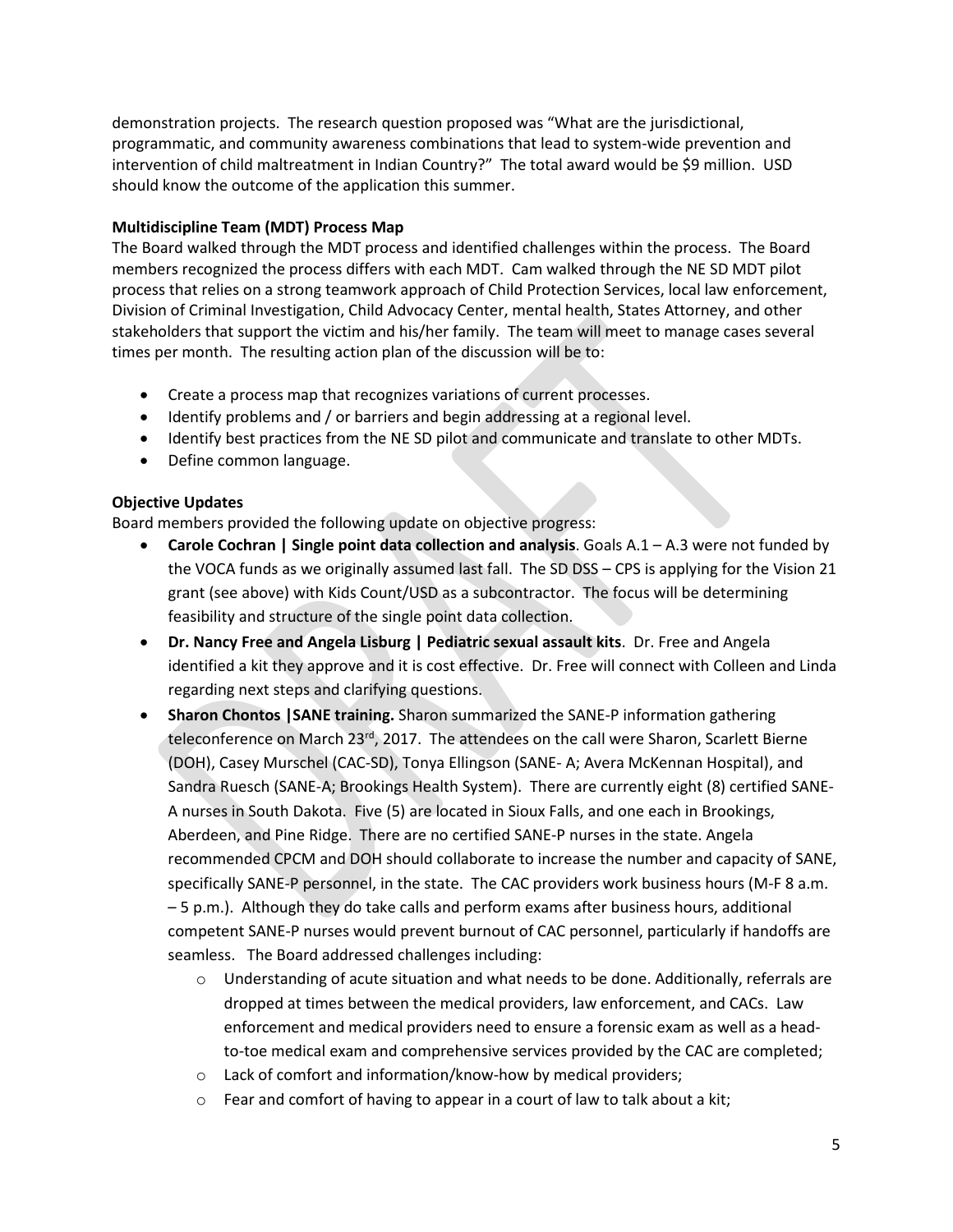demonstration projects. The research question proposed was "What are the jurisdictional, programmatic, and community awareness combinations that lead to system-wide prevention and intervention of child maltreatment in Indian Country?" The total award would be \$9 million. USD should know the outcome of the application this summer.

## **Multidiscipline Team (MDT) Process Map**

The Board walked through the MDT process and identified challenges within the process. The Board members recognized the process differs with each MDT. Cam walked through the NE SD MDT pilot process that relies on a strong teamwork approach of Child Protection Services, local law enforcement, Division of Criminal Investigation, Child Advocacy Center, mental health, States Attorney, and other stakeholders that support the victim and his/her family. The team will meet to manage cases several times per month. The resulting action plan of the discussion will be to:

- Create a process map that recognizes variations of current processes.
- Identify problems and / or barriers and begin addressing at a regional level.
- Identify best practices from the NE SD pilot and communicate and translate to other MDTs.
- Define common language.

### **Objective Updates**

Board members provided the following update on objective progress:

- **Carole Cochran | Single point data collection and analysis**. Goals A.1 A.3 were not funded by the VOCA funds as we originally assumed last fall. The SD DSS – CPS is applying for the Vision 21 grant (see above) with Kids Count/USD as a subcontractor. The focus will be determining feasibility and structure of the single point data collection.
- **Dr. Nancy Free and Angela Lisburg | Pediatric sexual assault kits**. Dr. Free and Angela identified a kit they approve and it is cost effective. Dr. Free will connect with Colleen and Linda regarding next steps and clarifying questions.
- **Sharon Chontos |SANE training.** Sharon summarized the SANE-P information gathering teleconference on March 23<sup>rd</sup>, 2017. The attendees on the call were Sharon, Scarlett Bierne (DOH), Casey Murschel (CAC-SD), Tonya Ellingson (SANE- A; Avera McKennan Hospital), and Sandra Ruesch (SANE-A; Brookings Health System). There are currently eight (8) certified SANE-A nurses in South Dakota. Five (5) are located in Sioux Falls, and one each in Brookings, Aberdeen, and Pine Ridge. There are no certified SANE-P nurses in the state. Angela recommended CPCM and DOH should collaborate to increase the number and capacity of SANE, specifically SANE-P personnel, in the state. The CAC providers work business hours (M-F 8 a.m. – 5 p.m.). Although they do take calls and perform exams after business hours, additional competent SANE-P nurses would prevent burnout of CAC personnel, particularly if handoffs are seamless. The Board addressed challenges including:
	- $\circ$  Understanding of acute situation and what needs to be done. Additionally, referrals are dropped at times between the medical providers, law enforcement, and CACs. Law enforcement and medical providers need to ensure a forensic exam as well as a headto-toe medical exam and comprehensive services provided by the CAC are completed;
	- o Lack of comfort and information/know-how by medical providers;
	- o Fear and comfort of having to appear in a court of law to talk about a kit;